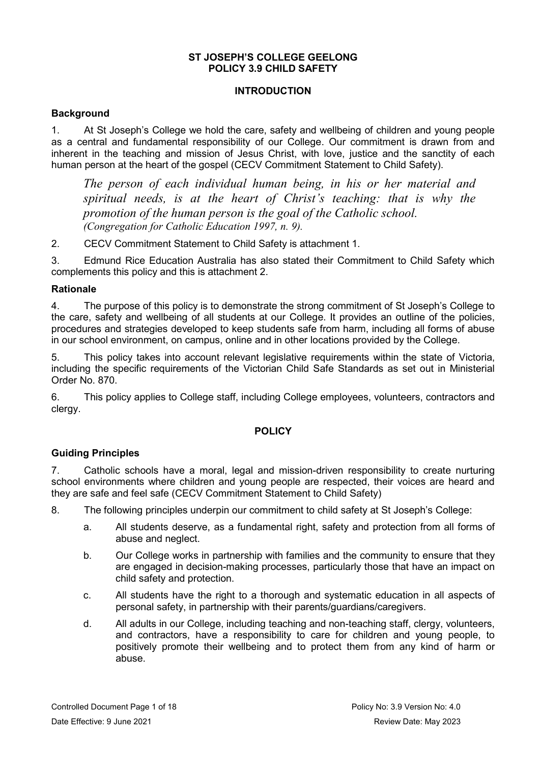## **ST JOSEPH'S COLLEGE GEELONG POLICY 3.9 CHILD SAFETY**

# **INTRODUCTION**

# **Background**

1. At St Joseph's College we hold the care, safety and wellbeing of children and young people as a central and fundamental responsibility of our College. Our commitment is drawn from and inherent in the teaching and mission of Jesus Christ, with love, justice and the sanctity of each human person at the heart of the gospel [\(CECV Commitment Statement to Child Safety\)](http://cevn.cecv.catholic.edu.au/WorkArea/DownloadAsset.aspx?id=8589940582).

*The person of each individual human being, in his or her material and spiritual needs, is at the heart of Christ's teaching: that is why the promotion of the human person is the goal of the Catholic school. (Congregation for Catholic Education 1997, n. 9).*

2. [CECV Commitment Statement to Child Safety](http://cevn.cecv.catholic.edu.au/WorkArea/DownloadAsset.aspx?id=8589940582) is attachment 1.

3. Edmund Rice Education Australia has also stated their Commitment to Child Safety which complements this policy and this is attachment 2.

# **Rationale**

4. The purpose of this policy is to demonstrate the strong commitment of St Joseph's College to the care, safety and wellbeing of all students at our College. It provides an outline of the policies, procedures and strategies developed to keep students safe from harm, including all forms of abuse in our school environment, on campus, online and in other locations provided by the College.

5. This policy takes into account relevant legislative requirements within the state of Victoria, including the specific requirements of the Victorian Child Safe Standards as set out in [Ministerial](http://www.gazette.vic.gov.au/gazette/Gazettes2016/GG2016S002.pdf)  [Order No. 870.](http://www.gazette.vic.gov.au/gazette/Gazettes2016/GG2016S002.pdf)

6. This policy applies to College staff, including College employees, volunteers, contractors and clergy.

# **POLICY**

# **Guiding Principles**

7. Catholic schools have a moral, legal and mission-driven responsibility to create nurturing school environments where children and young people are respected, their voices are heard and they are safe and feel safe [\(CECV Commitment Statement to Child Safety\)](http://cevn.cecv.catholic.edu.au/WorkArea/DownloadAsset.aspx?id=8589940582)

8. The following principles underpin our commitment to child safety at St Joseph's College:

- a. All students deserve, as a fundamental right, safety and protection from all forms of abuse and neglect.
- b. Our College works in partnership with families and the community to ensure that they are engaged in decision-making processes, particularly those that have an impact on child safety and protection.
- c. All students have the right to a thorough and systematic education in all aspects of personal safety, in partnership with their parents/guardians/caregivers.
- d. All adults in our College, including teaching and non-teaching staff, clergy, volunteers, and contractors, have a responsibility to care for children and young people, to positively promote their wellbeing and to protect them from any kind of harm or abuse.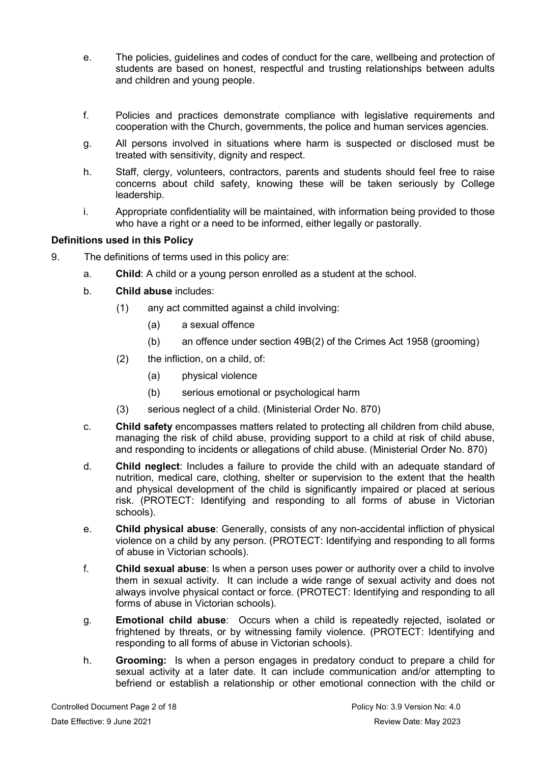- e. The policies, guidelines and codes of conduct for the care, wellbeing and protection of students are based on honest, respectful and trusting relationships between adults and children and young people.
- f. Policies and practices demonstrate compliance with legislative requirements and cooperation with the Church, governments, the police and human services agencies.
- g. All persons involved in situations where harm is suspected or disclosed must be treated with sensitivity, dignity and respect.
- h. Staff, clergy, volunteers, contractors, parents and students should feel free to raise concerns about child safety, knowing these will be taken seriously by College leadership.
- i. Appropriate confidentiality will be maintained, with information being provided to those who have a right or a need to be informed, either legally or pastorally.

# **Definitions used in this Policy**

- 9. The definitions of terms used in this policy are:
	- a. **Child**: A child or a young person enrolled as a student at the school.
	- b. **Child abuse** includes:
		- (1) any act committed against a child involving:
			- (a) a sexual offence
			- (b) an offence under section 49B(2) of the Crimes Act 1958 (grooming)
		- (2) the infliction, on a child, of:
			- (a) physical violence
			- (b) serious emotional or psychological harm
		- (3) serious neglect of a child. [\(Ministerial Order No. 870\)](http://www.gazette.vic.gov.au/gazette/Gazettes2016/GG2016S002.pdf)
	- c. **Child safety** encompasses matters related to protecting all children from child abuse, managing the risk of child abuse, providing support to a child at risk of child abuse, and responding to incidents or allegations of child abuse. [\(Ministerial Order No. 870\)](http://www.gazette.vic.gov.au/gazette/Gazettes2016/GG2016S002.pdf)
	- d. **Child neglect**: Includes a failure to provide the child with an adequate standard of nutrition, medical care, clothing, shelter or supervision to the extent that the health and physical development of the child is significantly impaired or placed at serious risk. [\(PROTECT: Identifying and responding to all forms of abuse in Victorian](http://www.cecv.catholic.edu.au/getmedia/ebe135a4-d1b3-48a0-81fe-50d4fc451bcd/Identifying-and-Responding-to-All-Forms-of-Abuse.aspx#page=27)  [schools\)](http://www.cecv.catholic.edu.au/getmedia/ebe135a4-d1b3-48a0-81fe-50d4fc451bcd/Identifying-and-Responding-to-All-Forms-of-Abuse.aspx#page=27).
	- e. **Child physical abuse**: Generally, consists of any non-accidental infliction of physical violence on a child by any person. [\(PROTECT: Identifying and responding to all forms](https://www.cecv.catholic.edu.au/getmedia/ebe135a4-d1b3-48a0-81fe-50d4fc451bcd/Identifying-and-Responding-to-All-Forms-of-Abuse.aspx#page=15)  [of abuse in Victorian schools\)](https://www.cecv.catholic.edu.au/getmedia/ebe135a4-d1b3-48a0-81fe-50d4fc451bcd/Identifying-and-Responding-to-All-Forms-of-Abuse.aspx#page=15).
	- f. **Child sexual abuse**: Is when a person uses power or authority over a child to involve them in sexual activity. It can include a wide range of sexual activity and does not always involve physical contact or force. [\(PROTECT: Identifying and responding to all](https://www.cecv.catholic.edu.au/getmedia/ebe135a4-d1b3-48a0-81fe-50d4fc451bcd/Identifying-and-Responding-to-All-Forms-of-Abuse.aspx#page=17)  [forms of abuse in Victorian schools\)](https://www.cecv.catholic.edu.au/getmedia/ebe135a4-d1b3-48a0-81fe-50d4fc451bcd/Identifying-and-Responding-to-All-Forms-of-Abuse.aspx#page=17).
	- g. **Emotional child abuse**: Occurs when a child is repeatedly rejected, isolated or frightened by threats, or by witnessing family violence. [\(PROTECT: Identifying and](https://www.cecv.catholic.edu.au/getmedia/ebe135a4-d1b3-48a0-81fe-50d4fc451bcd/Identifying-and-Responding-to-All-Forms-of-Abuse.aspx#page=26)  [responding to all forms of abuse in Victorian schools\)](https://www.cecv.catholic.edu.au/getmedia/ebe135a4-d1b3-48a0-81fe-50d4fc451bcd/Identifying-and-Responding-to-All-Forms-of-Abuse.aspx#page=26).
	- h. **Grooming:** Is when a person engages in predatory conduct to prepare a child for sexual activity at a later date. It can include communication and/or attempting to befriend or establish a relationship or other emotional connection with the child or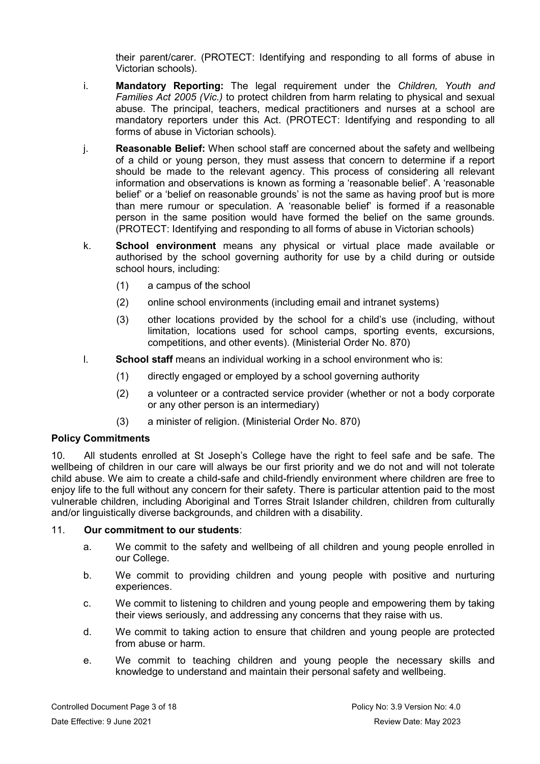their parent/carer. [\(PROTECT: Identifying and responding to all forms of abuse in](https://www.cecv.catholic.edu.au/getmedia/ebe135a4-d1b3-48a0-81fe-50d4fc451bcd/Identifying-and-Responding-to-All-Forms-of-Abuse.aspx#page=20)  [Victorian schools\)](https://www.cecv.catholic.edu.au/getmedia/ebe135a4-d1b3-48a0-81fe-50d4fc451bcd/Identifying-and-Responding-to-All-Forms-of-Abuse.aspx#page=20).

- i. **Mandatory Reporting:** The legal requirement under the *Children, Youth and Families Act 2005 (Vic.)* to protect children from harm relating to physical and sexual abuse. The principal, teachers, medical practitioners and nurses at a school are mandatory reporters under this Act. [\(PROTECT: Identifying and responding to all](https://www.cecv.catholic.edu.au/getmedia/ebe135a4-d1b3-48a0-81fe-50d4fc451bcd/Identifying-and-Responding-to-All-Forms-of-Abuse.aspx#page=20)  [forms of abuse in Victorian schools\)](https://www.cecv.catholic.edu.au/getmedia/ebe135a4-d1b3-48a0-81fe-50d4fc451bcd/Identifying-and-Responding-to-All-Forms-of-Abuse.aspx#page=20).
- j. **Reasonable Belief:** When school staff are concerned about the safety and wellbeing of a child or young person, they must assess that concern to determine if a report should be made to the relevant agency. This process of considering all relevant information and observations is known as forming a 'reasonable belief'. A 'reasonable belief' or a 'belief on reasonable grounds' is not the same as having proof but is more than mere rumour or speculation. A 'reasonable belief' is formed if a reasonable person in the same position would have formed the belief on the same grounds. [\(PROTECT: Identifying and responding to all forms of abuse in Victorian schools\)](http://www.cecv.catholic.edu.au/getmedia/ebe135a4-d1b3-48a0-81fe-50d4fc451bcd/Identifying-and-Responding-to-All-Forms-of-Abuse.aspx#page=35)
- k. **School environment** means any physical or virtual place made available or authorised by the school governing authority for use by a child during or outside school hours, including:
	- (1) a campus of the school
	- (2) online school environments (including email and intranet systems)
	- (3) other locations provided by the school for a child's use (including, without limitation, locations used for school camps, sporting events, excursions, competitions, and other events). [\(Ministerial Order No.](http://www.gazette.vic.gov.au/gazette/Gazettes2016/GG2016S002.pdf) 870)
- l. **School staff** means an individual working in a school environment who is:
	- (1) directly engaged or employed by a school governing authority
	- (2) a volunteer or a contracted service provider (whether or not a body corporate or any other person is an intermediary)
	- (3) a minister of religion. [\(Ministerial Order No. 870\)](http://www.gazette.vic.gov.au/gazette/Gazettes2016/GG2016S002.pdf)

# **Policy Commitments**

10. All students enrolled at St Joseph's College have the right to feel safe and be safe. The wellbeing of children in our care will always be our first priority and we do not and will not tolerate child abuse. We aim to create a child-safe and child-friendly environment where children are free to enjoy life to the full without any concern for their safety. There is particular attention paid to the most vulnerable children, including Aboriginal and Torres Strait Islander children, children from culturally and/or linguistically diverse backgrounds, and children with a disability.

# 11. **Our commitment to our students**:

- a. We commit to the safety and wellbeing of all children and young people enrolled in our College.
- b. We commit to providing children and young people with positive and nurturing experiences.
- c. We commit to listening to children and young people and empowering them by taking their views seriously, and addressing any concerns that they raise with us.
- d. We commit to taking action to ensure that children and young people are protected from abuse or harm.
- e. We commit to teaching children and young people the necessary skills and knowledge to understand and maintain their personal safety and wellbeing.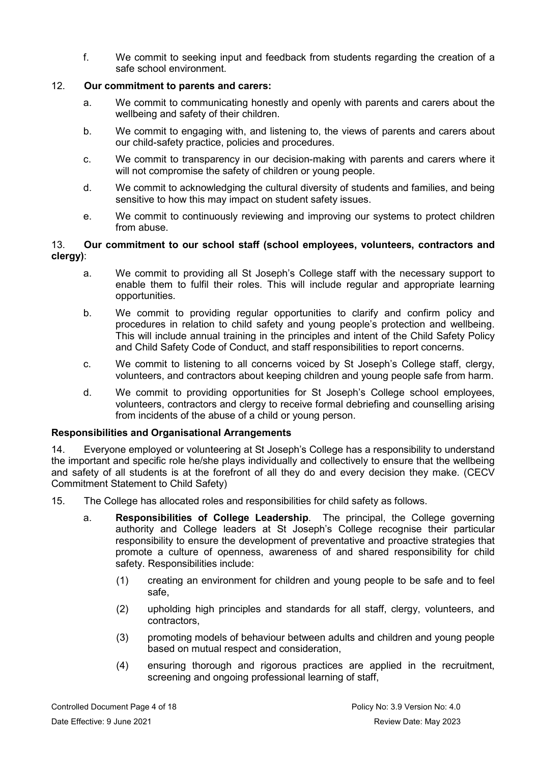f. We commit to seeking input and feedback from students regarding the creation of a safe school environment.

# 12. **Our commitment to parents and carers:**

- a. We commit to communicating honestly and openly with parents and carers about the wellbeing and safety of their children.
- b. We commit to engaging with, and listening to, the views of parents and carers about our child-safety practice, policies and procedures.
- c. We commit to transparency in our decision-making with parents and carers where it will not compromise the safety of children or young people.
- d. We commit to acknowledging the cultural diversity of students and families, and being sensitive to how this may impact on student safety issues.
- e. We commit to continuously reviewing and improving our systems to protect children from abuse.

# 13. **Our commitment to our school staff (school employees, volunteers, contractors and clergy)**:

- a. We commit to providing all St Joseph's College staff with the necessary support to enable them to fulfil their roles. This will include regular and appropriate learning opportunities.
- b. We commit to providing regular opportunities to clarify and confirm policy and procedures in relation to child safety and young people's protection and wellbeing. This will include annual training in the principles and intent of the Child Safety Policy and Child Safety Code of Conduct, and staff responsibilities to report concerns.
- c. We commit to listening to all concerns voiced by St Joseph's College staff, clergy, volunteers, and contractors about keeping children and young people safe from harm.
- d. We commit to providing opportunities for St Joseph's College school employees, volunteers, contractors and clergy to receive formal debriefing and counselling arising from incidents of the abuse of a child or young person.

# **Responsibilities and Organisational Arrangements**

14. Everyone employed or volunteering at St Joseph's College has a responsibility to understand the important and specific role he/she plays individually and collectively to ensure that the wellbeing and safety of all students is at the forefront of all they do and every decision they make. [\(CECV](http://cevn.cecv.catholic.edu.au/WorkArea/DownloadAsset.aspx?id=8589940582)  [Commitment Statement to Child Safety\)](http://cevn.cecv.catholic.edu.au/WorkArea/DownloadAsset.aspx?id=8589940582)

15. The College has allocated roles and responsibilities for child safety as follows.

- a. **Responsibilities of College Leadership**. The principal, the College governing authority and College leaders at St Joseph's College recognise their particular responsibility to ensure the development of preventative and proactive strategies that promote a culture of openness, awareness of and shared responsibility for child safety. Responsibilities include:
	- (1) creating an environment for children and young people to be safe and to feel safe,
	- (2) upholding high principles and standards for all staff, clergy, volunteers, and contractors,
	- (3) promoting models of behaviour between adults and children and young people based on mutual respect and consideration,
	- (4) ensuring thorough and rigorous practices are applied in the recruitment, screening and ongoing professional learning of staff,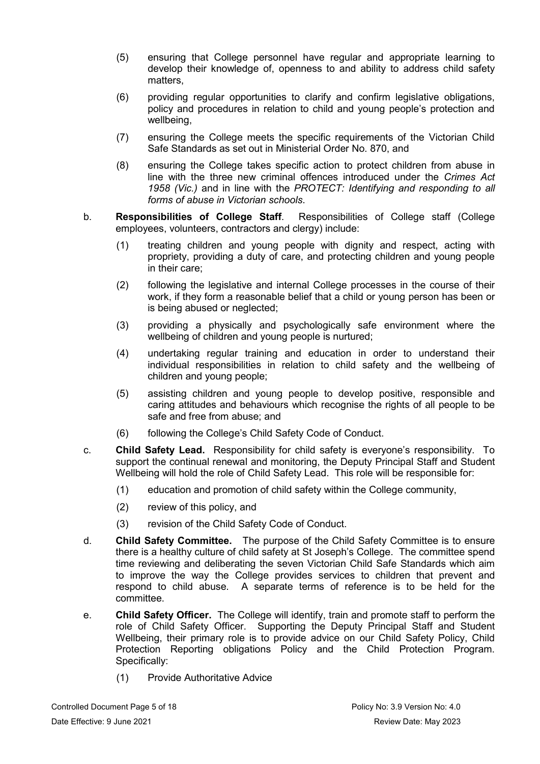- (5) ensuring that College personnel have regular and appropriate learning to develop their knowledge of, openness to and ability to address child safety matters,
- (6) providing regular opportunities to clarify and confirm legislative obligations, policy and procedures in relation to child and young people's protection and wellbeing,
- (7) ensuring the College meets the specific requirements of the Victorian Child Safe Standards as set out in [Ministerial Order No. 870,](http://www.gazette.vic.gov.au/gazette/Gazettes2016/GG2016S002.pdf) and
- (8) ensuring the College takes specific action to protect children from abuse in line with the three new criminal offences introduced under the *Crimes Act 1958 (Vic.)* and in line with the *[PROTECT: Identifying and responding to all](http://www.cecv.catholic.edu.au/getmedia/ebe135a4-d1b3-48a0-81fe-50d4fc451bcd/Identifying-and-Responding-to-All-Forms-of-Abuse.aspx)  [forms of abuse in Victorian schools](http://www.cecv.catholic.edu.au/getmedia/ebe135a4-d1b3-48a0-81fe-50d4fc451bcd/Identifying-and-Responding-to-All-Forms-of-Abuse.aspx)*.
- b. **Responsibilities of College Staff**. Responsibilities of College staff (College employees, volunteers, contractors and clergy) include:
	- (1) treating children and young people with dignity and respect, acting with propriety, providing a duty of care, and protecting children and young people in their care;
	- (2) following the legislative and internal College processes in the course of their work, if they form a reasonable belief that a child or young person has been or is being abused or neglected;
	- (3) providing a physically and psychologically safe environment where the wellbeing of children and young people is nurtured;
	- (4) undertaking regular training and education in order to understand their individual responsibilities in relation to child safety and the wellbeing of children and young people;
	- (5) assisting children and young people to develop positive, responsible and caring attitudes and behaviours which recognise the rights of all people to be safe and free from abuse; and
	- (6) following the College's Child Safety Code of Conduct.
- c. **Child Safety Lead.** Responsibility for child safety is everyone's responsibility. To support the continual renewal and monitoring, the Deputy Principal Staff and Student Wellbeing will hold the role of Child Safety Lead. This role will be responsible for:
	- (1) education and promotion of child safety within the College community,
	- (2) review of this policy, and
	- (3) revision of the Child Safety Code of Conduct.
- d. **Child Safety Committee.** The purpose of the Child Safety Committee is to ensure there is a healthy culture of child safety at St Joseph's College. The committee spend time reviewing and deliberating the seven Victorian Child Safe Standards which aim to improve the way the College provides services to children that prevent and respond to child abuse. A separate terms of reference is to be held for the committee.
- e. **Child Safety Officer.** The College will identify, train and promote staff to perform the role of Child Safety Officer. Supporting the Deputy Principal Staff and Student Wellbeing, their primary role is to provide advice on our Child Safety Policy, Child Protection Reporting obligations Policy and the Child Protection Program. Specifically:
	- (1) Provide Authoritative Advice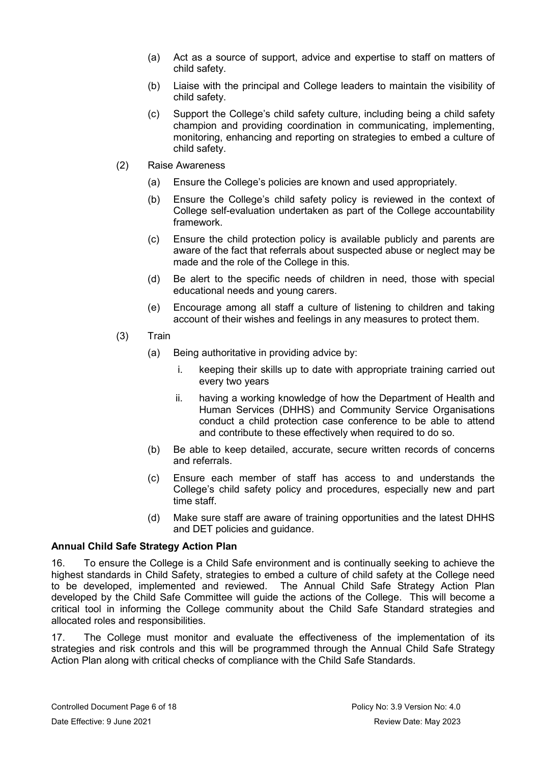- (a) Act as a source of support, advice and expertise to staff on matters of child safety.
- (b) Liaise with the principal and College leaders to maintain the visibility of child safety.
- (c) Support the College's child safety culture, including being a child safety champion and providing coordination in communicating, implementing, monitoring, enhancing and reporting on strategies to embed a culture of child safety.
- (2) Raise Awareness
	- (a) Ensure the College's policies are known and used appropriately.
	- (b) Ensure the College's child safety policy is reviewed in the context of College self-evaluation undertaken as part of the College accountability framework.
	- (c) Ensure the child protection policy is available publicly and parents are aware of the fact that referrals about suspected abuse or neglect may be made and the role of the College in this.
	- (d) Be alert to the specific needs of children in need, those with special educational needs and young carers.
	- (e) Encourage among all staff a culture of listening to children and taking account of their wishes and feelings in any measures to protect them.
- (3) Train
	- (a) Being authoritative in providing advice by:
		- i. keeping their skills up to date with appropriate training carried out every two years
		- ii. having a working knowledge of how the Department of Health and Human Services (DHHS) and Community Service Organisations conduct a child protection case conference to be able to attend and contribute to these effectively when required to do so.
	- (b) Be able to keep detailed, accurate, secure written records of concerns and referrals.
	- (c) Ensure each member of staff has access to and understands the College's child safety policy and procedures, especially new and part time staff.
	- (d) Make sure staff are aware of training opportunities and the latest DHHS and DET policies and guidance.

# **Annual Child Safe Strategy Action Plan**

16. To ensure the College is a Child Safe environment and is continually seeking to achieve the highest standards in Child Safety, strategies to embed a culture of child safety at the College need to be developed, implemented and reviewed. The Annual Child Safe Strategy Action Plan developed by the Child Safe Committee will guide the actions of the College. This will become a critical tool in informing the College community about the Child Safe Standard strategies and allocated roles and responsibilities.

17. The College must monitor and evaluate the effectiveness of the implementation of its strategies and risk controls and this will be programmed through the Annual Child Safe Strategy Action Plan along with critical checks of compliance with the Child Safe Standards.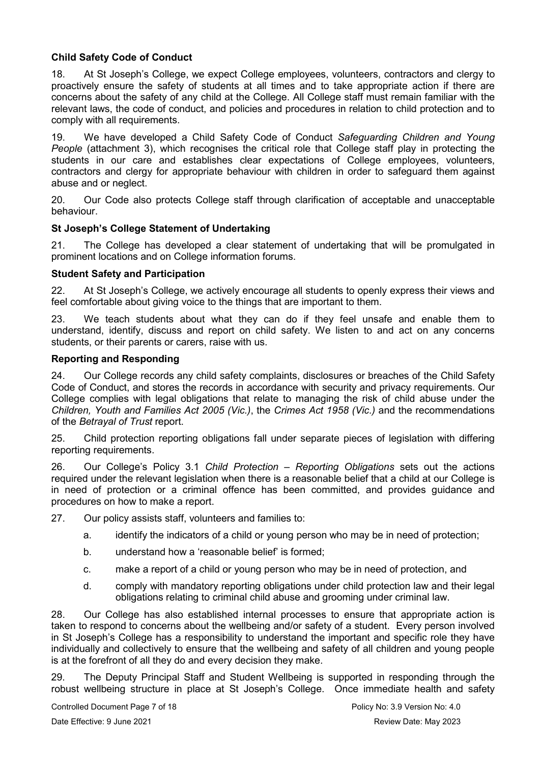# **Child Safety Code of Conduct**

18. At St Joseph's College, we expect College employees, volunteers, contractors and clergy to proactively ensure the safety of students at all times and to take appropriate action if there are concerns about the safety of any child at the College. All College staff must remain familiar with the relevant laws, the code of conduct, and policies and procedures in relation to child protection and to comply with all requirements.

19. We have developed a Child Safety Code of Conduct *Safeguarding Children and Young People* (attachment 3), which recognises the critical role that College staff play in protecting the students in our care and establishes clear expectations of College employees, volunteers, contractors and clergy for appropriate behaviour with children in order to safeguard them against abuse and or neglect.

20. Our Code also protects College staff through clarification of acceptable and unacceptable behaviour.

# **St Joseph's College Statement of Undertaking**

21. The College has developed a clear statement of undertaking that will be promulgated in prominent locations and on College information forums.

## **Student Safety and Participation**

22. At St Joseph's College, we actively encourage all students to openly express their views and feel comfortable about giving voice to the things that are important to them.

23. We teach students about what they can do if they feel unsafe and enable them to understand, identify, discuss and report on child safety. We listen to and act on any concerns students, or their parents or carers, raise with us.

## **Reporting and Responding**

24. Our College records any child safety complaints, disclosures or breaches of the Child Safety Code of Conduct, and stores the records in accordance with security and privacy requirements. Our College complies with legal obligations that relate to managing the risk of child abuse under the *Children, Youth and Families Act 2005 (Vic.)*, the *Crimes Act 1958 (Vic.)* and the recommendations of the *[Betrayal of Trust](http://www.parliament.vic.gov.au/fcdc/article/1788)* report.

25. Child protection reporting obligations fall under separate pieces of legislation with differing reporting requirements.

26. Our College's Policy 3.1 *Child Protection – Reporting Obligations* sets out the actions required under the relevant legislation when there is a reasonable belief that a child at our College is in need of protection or a criminal offence has been committed, and provides guidance and procedures on how to make a report.

27. Our policy assists staff, volunteers and families to:

- a. identify the indicators of a child or young person who may be in need of protection;
- b. understand how a 'reasonable belief' is formed;
- c. make a report of a child or young person who may be in need of protection, and
- d. comply with mandatory reporting obligations under child protection law and their legal obligations relating to criminal child abuse and grooming under criminal law.

28. Our College has also established internal processes to ensure that appropriate action is taken to respond to concerns about the wellbeing and/or safety of a student. Every person involved in St Joseph's College has a responsibility to understand the important and specific role they have individually and collectively to ensure that the wellbeing and safety of all children and young people is at the forefront of all they do and every decision they make.

29. The Deputy Principal Staff and Student Wellbeing is supported in responding through the robust wellbeing structure in place at St Joseph's College. Once immediate health and safety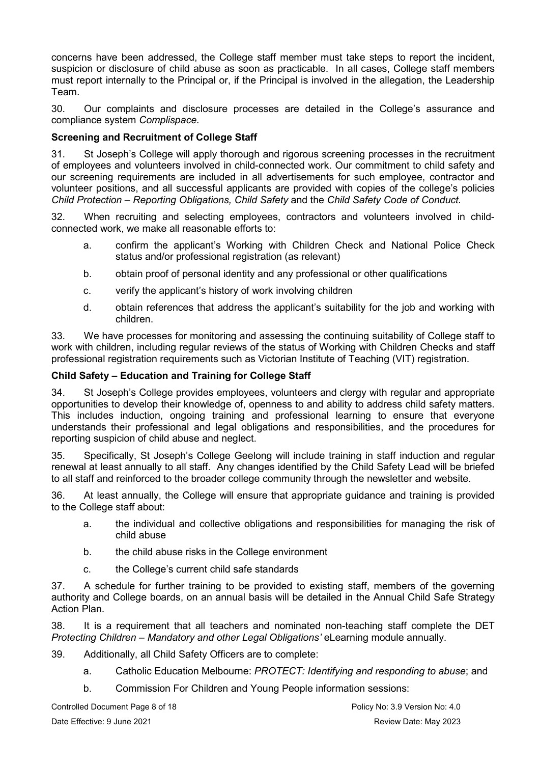concerns have been addressed, the College staff member must take steps to report the incident, suspicion or disclosure of child abuse as soon as practicable. In all cases, College staff members must report internally to the Principal or, if the Principal is involved in the allegation, the Leadership Team.

30. Our complaints and disclosure processes are detailed in the College's assurance and compliance system *Complispace.*

# **Screening and Recruitment of College Staff**

31. St Joseph's College will apply thorough and rigorous screening processes in the recruitment of employees and volunteers involved in child-connected work. Our commitment to child safety and our screening requirements are included in all advertisements for such employee, contractor and volunteer positions, and all successful applicants are provided with copies of the college's policies *Child Protection – Reporting Obligations, Child Safety* and the *Child Safety Code of Conduct.*

32. When recruiting and selecting employees, contractors and volunteers involved in childconnected work, we make all reasonable efforts to:

- a. confirm the applicant's Working with Children Check and National Police Check status and/or professional registration (as relevant)
- b. obtain proof of personal identity and any professional or other qualifications
- c. verify the applicant's history of work involving children
- d. obtain references that address the applicant's suitability for the job and working with children.

33. We have processes for monitoring and assessing the continuing suitability of College staff to work with children, including regular reviews of the status of Working with Children Checks and staff professional registration requirements such as Victorian Institute of Teaching (VIT) registration.

# **Child Safety – Education and Training for College Staff**

34. St Joseph's College provides employees, volunteers and clergy with regular and appropriate opportunities to develop their knowledge of, openness to and ability to address child safety matters. This includes induction, ongoing training and professional learning to ensure that everyone understands their professional and legal obligations and responsibilities, and the procedures for reporting suspicion of child abuse and neglect.

35. Specifically, St Joseph's College Geelong will include training in staff induction and regular renewal at least annually to all staff. Any changes identified by the Child Safety Lead will be briefed to all staff and reinforced to the broader college community through the newsletter and website.

36. At least annually, the College will ensure that appropriate guidance and training is provided to the College staff about:

- a. the individual and collective obligations and responsibilities for managing the risk of child abuse
- b. the child abuse risks in the College environment
- c. the College's current child safe standards

37. A schedule for further training to be provided to existing staff, members of the governing authority and College boards, on an annual basis will be detailed in the Annual Child Safe Strategy Action Plan.

38. It is a requirement that all teachers and nominated non-teaching staff complete the DET *Protecting Children – Mandatory and other Legal Obligations'* eLearning module annually.

- 39. Additionally, all Child Safety Officers are to complete:
	- a. Catholic Education Melbourne: *PROTECT: Identifying and responding to abuse*; and
	- b. Commission For Children and Young People information sessions:

Controlled Document Page 8 of 18 **Policy No: 3.9 Version No: 4.0** Policy No: 3.9 Version No: 4.0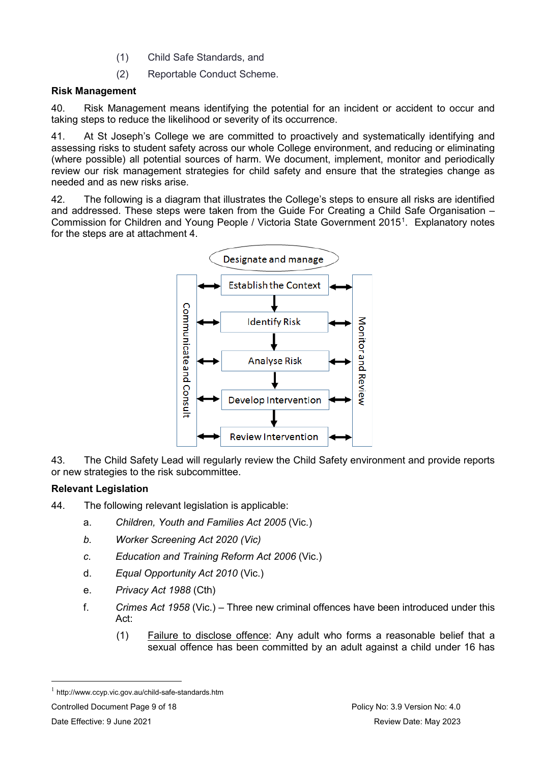- (1) Child Safe Standards, and
- (2) Reportable Conduct Scheme.

# **Risk Management**

40. Risk Management means identifying the potential for an incident or accident to occur and taking steps to reduce the likelihood or severity of its occurrence.

41. At St Joseph's College we are committed to proactively and systematically identifying and assessing risks to student safety across our whole College environment, and reducing or eliminating (where possible) all potential sources of harm. We document, implement, monitor and periodically review our risk management strategies for child safety and ensure that the strategies change as needed and as new risks arise.

42. The following is a diagram that illustrates the College's steps to ensure all risks are identified and addressed. These steps were taken from the Guide For Creating a Child Safe Organisation – Commission for Children and Young People / Victoria State Government 20[1](#page-8-0)5<sup>1</sup>. Explanatory notes for the steps are at attachment 4.



43. The Child Safety Lead will regularly review the Child Safety environment and provide reports or new strategies to the risk subcommittee.

# **Relevant Legislation**

- 44. The following relevant legislation is applicable:
	- a. *Children, Youth and Families Act 2005* (Vic.)
	- *b. Worker Screening Act 2020 (Vic)*
	- *c. Education and Training Reform Act 2006* (Vic.)
	- d. *Equal Opportunity Act 2010* (Vic.)
	- e. *Privacy Act 1988* (Cth)
	- f. *Crimes Act 1958* (Vic.) Three new criminal offences have been introduced under this Act:
		- (1) Failure to disclose offence: Any adult who forms a reasonable belief that a sexual offence has been committed by an adult against a child under 16 has

Controlled Document Page 9 of 18 **Policy No: 3.9 Version No: 4.0** Policy No: 3.9 Version No: 4.0

<span id="page-8-0"></span> $1$  http://www.ccyp.vic.gov.au/child-safe-standards.htm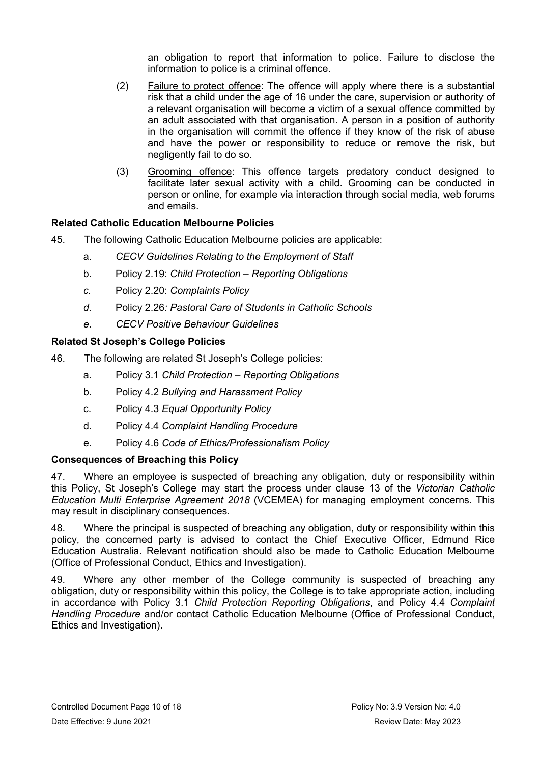an obligation to report that information to police. Failure to disclose the information to police is a criminal offence.

- (2) Failure to protect offence: The offence will apply where there is a substantial risk that a child under the age of 16 under the care, supervision or authority of a relevant organisation will become a victim of a sexual offence committed by an adult associated with that organisation. A person in a position of authority in the organisation will commit the offence if they know of the risk of abuse and have the power or responsibility to reduce or remove the risk, but negligently fail to do so.
- (3) Grooming offence: This offence targets predatory conduct designed to facilitate later sexual activity with a child. Grooming can be conducted in person or online, for example via interaction through social media, web forums and emails.

# **Related Catholic Education Melbourne Policies**

- 45. The following Catholic Education Melbourne policies are applicable:
	- a. *CECV Guidelines Relating to the Employment of Staff*
	- b. Policy 2.19: *Child Protection – Reporting Obligations*
	- *c.* Policy 2.20: *[Complaints Policy](https://www.cem.edu.au/About-Us/Policies/Child-Protection-Reporting-Obligations.aspx)*
	- *d.* Policy 2.26*[: Pastoral Care of Students](https://www.cem.edu.au/About-Us/Policies/Pastoral-Care-of-Students.aspx) in Catholic Schools*
	- *e. [CECV Positive Behaviour Guidelines](https://cevn.cecv.catholic.edu.au/Melb/Document-File/Students-Support/Autism-Spectrum-Disorder/Supporting-Students-with-an-ASD/Positive-Behaviour-Support/CECV-Positive-Behaviour-Guidelines.pdf)*

# **Related St Joseph's College Policies**

- 46. The following are related St Joseph's College policies:
	- a. Policy 3.1 *Child Protection – Reporting Obligations*
	- b. Policy 4.2 *Bullying and Harassment Policy*
	- c. Policy 4.3 *Equal Opportunity Policy*
	- d. Policy 4.4 *Complaint Handling Procedure*
	- e. Policy 4.6 *Code of Ethics/Professionalism Policy*

# **Consequences of Breaching this Policy**

47. Where an employee is suspected of breaching any obligation, duty or responsibility within this Policy, St Joseph's College may start the process under clause 13 of the *Victorian Catholic Education Multi Enterprise Agreement 2018* (VCEMEA) for managing employment concerns. This may result in disciplinary consequences.

48. Where the principal is suspected of breaching any obligation, duty or responsibility within this policy, the concerned party is advised to contact the Chief Executive Officer, Edmund Rice Education Australia. Relevant notification should also be made to Catholic Education Melbourne (Office of Professional Conduct, Ethics and Investigation).

49. Where any other member of the College community is suspected of breaching any obligation, duty or responsibility within this policy, the College is to take appropriate action, including in accordance with Policy 3.1 *Child Protection Reporting Obligations*, and Policy 4.4 *Complaint Handling Procedure* and/or contact Catholic Education Melbourne (Office of Professional Conduct, Ethics and Investigation).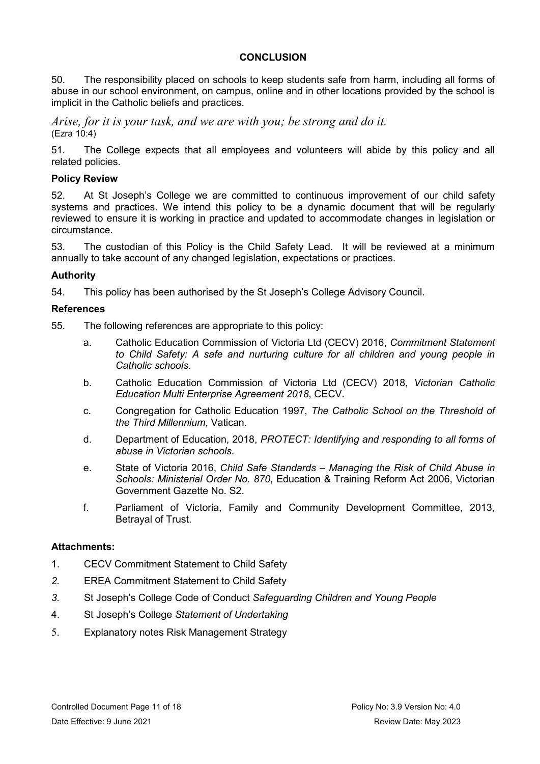# **CONCLUSION**

50. The responsibility placed on schools to keep students safe from harm, including all forms of abuse in our school environment, on campus, online and in other locations provided by the school is implicit in the Catholic beliefs and practices.

*Arise, for it is your task, and we are with you; be strong and do it.* (Ezra 10:4)

51. The College expects that all employees and volunteers will abide by this policy and all related policies.

# **Policy Review**

52. At St Joseph's College we are committed to continuous improvement of our child safety systems and practices. We intend this policy to be a dynamic document that will be regularly reviewed to ensure it is working in practice and updated to accommodate changes in legislation or circumstance.

53. The custodian of this Policy is the Child Safety Lead. It will be reviewed at a minimum annually to take account of any changed legislation, expectations or practices.

# **Authority**

54. This policy has been authorised by the St Joseph's College Advisory Council.

# **References**

55. The following references are appropriate to this policy:

- a. Catholic Education Commission of Victoria Ltd (CECV) 2016, *Commitment Statement to Child Safety: A safe and nurturing culture for all children and young people in Catholic schools*.
- b. Catholic Education Commission of Victoria Ltd (CECV) 2018, *Victorian Catholic Education Multi Enterprise Agreement 2018*, CECV.
- c. Congregation for Catholic Education 1997, *The Catholic School on the Threshold of the Third Millennium*, Vatican.
- d. Department of Education, 2018, *[PROTECT: Identifying and responding to all forms of](http://www.cecv.catholic.edu.au/getmedia/ebe135a4-d1b3-48a0-81fe-50d4fc451bcd/Identifying-and-Responding-to-All-Forms-of-Abuse.aspx)  [abuse in Victorian schools](http://www.cecv.catholic.edu.au/getmedia/ebe135a4-d1b3-48a0-81fe-50d4fc451bcd/Identifying-and-Responding-to-All-Forms-of-Abuse.aspx)*.
- e. State of Victoria 2016, *Child Safe Standards – Managing the Risk of Child Abuse in Schools: Ministerial Order No. 870*, Education & Training Reform Act 2006, Victorian Government Gazette No. S2.
- f. Parliament of Victoria, Family and Community Development Committee, 2013, [Betrayal of Trust.](http://www.parliament.vic.gov.au/fcdc/inquiries/article/1788)

# **Attachments:**

- 1. [CECV Commitment Statement to Child Safety](http://cevn.cecv.catholic.edu.au/WorkArea/DownloadAsset.aspx?id=8589940582)
- *2.* EREA [Commitment Statement to Child Safety](http://cevn.cecv.catholic.edu.au/WorkArea/DownloadAsset.aspx?id=8589940582)
- *3.* St Joseph's College Code of Conduct *Safeguarding Children and Young People*
- 4. St Joseph's College *Statement of Undertaking*
- 5. Explanatory notes Risk Management Strategy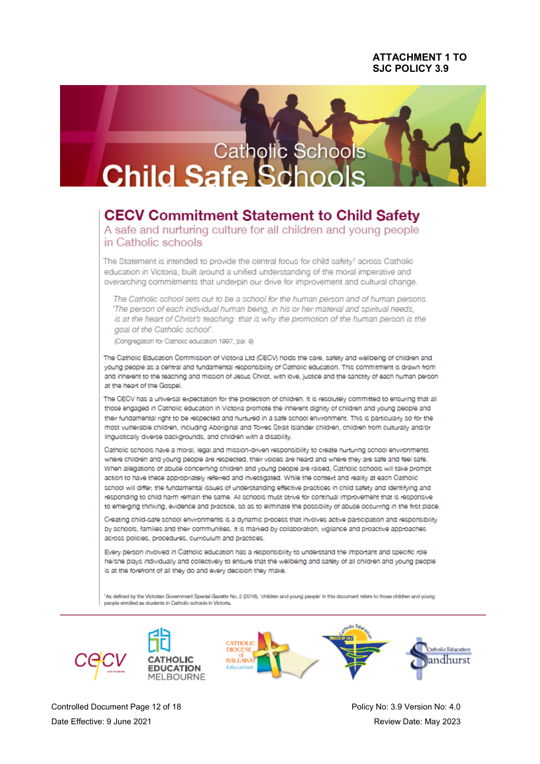## **ATTACHMENT 1 TO** S.IC POLICY 3.9



# **CECV Commitment Statement to Child Safety**

A safe and nurturing culture for all children and young people in Catholic schools

The Statement is intended to provide the central focus for child safety<sup>1</sup> across Catholic education in Victoria, built around a unified understanding of the moral imperative and overarching commitments that underpin our drive for improvement and cultural change.

The Catholic school sets out to be a school for the human person and of human persons. 'The person of each individual human being, in his or her material and spiritual needs, is at the heart of Christ's teaching: that is why the promotion of the human person is the goal of the Catholic school'.

(Congregation for Catholic education 1997, par. 9)

The Catholic Education Commission of Victoria Ltd (CECV) holds the care, safety and wellbeing of children and young people as a central and fundamental responsibility of Catholic education. This commitment is drawn from and inherent to the teaching and mission of Jesus Christ, with love, justice and the sanctity of each human person at the heart of the Gospel

The CECV has a universal expectation for the protection of children. It is resolutely committed to ensuring that all those engaged in Catholic education in Victoria promote the inherent dignity of children and young people and their fundamental right to be respected and nurtured in a safe school environment. This is particularly so for the most vulnerable children, including Aboriginal and Torres Strait Islander children, children from culturally and/or linguistically diverse backgrounds, and children with a disability.

Catholic schools have a moral, legal and mission-driven responsibility to create nurturing school environments where children and young people are respected, their voices are heard and where they are safe and feel safe. When allegations of abuse concerning children and young people are raised, Catholic schools will take prompt action to have these appropriately referred and investigated. While the context and reality at each Catholic school will differ, the fundamental issues of understanding effective practices in child safety and identifying and responding to child harm remain the same. All schools must strive for continual improvement that is responsive to emerging thinking, evidence and practice, so as to eliminate the possibility of abuse occurring in the first place.

Creating child-safe school environments is a dynamic process that involves active participation and responsibility by schools, families and their communities. It is marked by collaboration, vigilance and proactive approaches across policies, procedures, curriculum and practices.

Every person involved in Catholic education has a responsibility to understand the important and specific role he/she plays individually and collectively to ensure that the wellbeing and safety of all children and young people is at the forefront of all they do and every decision they make.

As defined by the Victorian Government Special Gazette No. 2 (2016), 'children and young people' in this document refers to those children and young people enrolled as students in Catholic schools in Victoria







Controlled Document Page 12 of 18 Date Effective: 9 June 2021

Policy No: 3.9 Version No: 4.0 Review Date: May 2023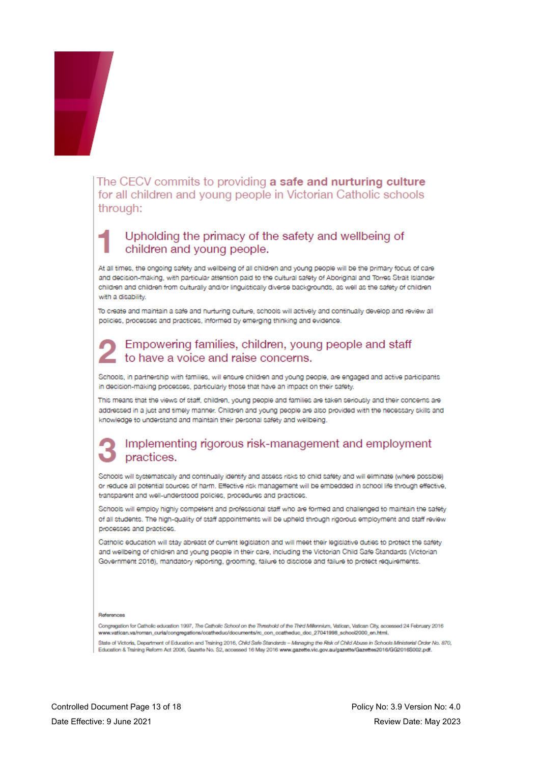

The CECV commits to providing a safe and nurturing culture for all children and young people in Victorian Catholic schools through:

# Upholding the primacy of the safety and wellbeing of children and young people.

At all times, the ongoing safety and wellbeing of all children and young people will be the primary focus of care and decision-making, with particular attention paid to the cultural safety of Aboriginal and Torres Strait Islander children and children from culturally and/or linguistically diverse backgrounds, as well as the safety of children with a disability

To create and maintain a safe and nurturing culture, schools will actively and continually develop and review all policies, processes and practices, informed by emerging thinking and evidence.

# Empowering families, children, young people and staff to have a voice and raise concerns.

Schools, in partnership with families, will ensure children and young people, are engaged and active participants in decision-making processes, particularly those that have an impact on their safety.

This means that the views of staff, children, young people and families are taken seriously and their concerns are addressed in a just and timely manner. Children and young people are also provided with the necessary skills and knowledge to understand and maintain their personal safety and wellbeing.

# Implementing rigorous risk-management and employment practices.

Schools will systematically and continually identify and assess risks to child safety and will eliminate (where possible) or reduce all potential sources of harm. Effective risk management will be embedded in school life through effective, transparent and well-understood policies, procedures and practices.

Schools will employ highly competent and professional staff who are formed and challenged to maintain the safety of all students. The high-quality of staff appointments will be upheld through rigorous employment and staff review processes and practices.

Catholic education will stay abreast of current legislation and will meet their legislative duties to protect the safety and wellbeing of children and young people in their care, including the Victorian Child Safe Standards (Victorian Government 2016), mandatory reporting, grooming, failure to disclose and failure to protect requirements.

#### References

Congregation for Catholic education 1997, The Catholic School on the Threshold of the Third Millennium, Vatican, Vatican City, accessed 24 February 2016 www.vatican.va/roman\_curia/congregations/ccatheduc/documents/ro\_con\_ccatheduc\_doc\_27041998\_school2000\_en.html.

State of Victoria, Department of Education and Training 2016, Child Safe Standards - Managing the Risk of Child Abuse in Schools Ministerial Order No. 870, Education & Training Reform Act 2006, Gazette No. S2, accessed 16 May 2016 www.gazette.vic.gov.au/gazette/Gazettes2016/GG2016S002.pdf.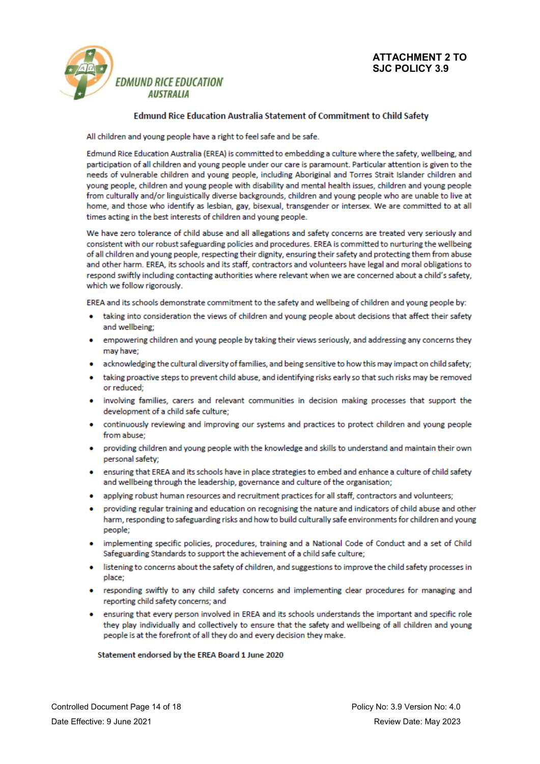

### **Edmund Rice Education Australia Statement of Commitment to Child Safety**

All children and young people have a right to feel safe and be safe.

Edmund Rice Education Australia (EREA) is committed to embedding a culture where the safety, wellbeing, and participation of all children and young people under our care is paramount. Particular attention is given to the needs of vulnerable children and young people, including Aboriginal and Torres Strait Islander children and voung people, children and voung people with disability and mental health issues, children and voung people from culturally and/or linguistically diverse backgrounds, children and young people who are unable to live at home, and those who identify as lesbian, gay, bisexual, transgender or intersex. We are committed to at all times acting in the best interests of children and young people.

We have zero tolerance of child abuse and all allegations and safety concerns are treated very seriously and consistent with our robust safeguarding policies and procedures. EREA is committed to nurturing the wellbeing of all children and young people, respecting their dignity, ensuring their safety and protecting them from abuse and other harm. EREA, its schools and its staff, contractors and volunteers have legal and moral obligations to respond swiftly including contacting authorities where relevant when we are concerned about a child's safety. which we follow rigorously.

EREA and its schools demonstrate commitment to the safety and wellbeing of children and young people by:

- taking into consideration the views of children and young people about decisions that affect their safety and wellbeing:
- empowering children and young people by taking their views seriously, and addressing any concerns they may have;
- acknowledging the cultural diversity of families, and being sensitive to how this may impact on child safety;
- taking proactive steps to prevent child abuse, and identifying risks early so that such risks may be removed or reduced;
- involving families, carers and relevant communities in decision making processes that support the development of a child safe culture;
- continuously reviewing and improving our systems and practices to protect children and young people from abuse:
- providing children and young people with the knowledge and skills to understand and maintain their own personal safety;
- ensuring that EREA and its schools have in place strategies to embed and enhance a culture of child safety and wellbeing through the leadership, governance and culture of the organisation;
- applying robust human resources and recruitment practices for all staff, contractors and volunteers;
- providing regular training and education on recognising the nature and indicators of child abuse and other harm, responding to safeguarding risks and how to build culturally safe environments for children and young people;
- implementing specific policies, procedures, training and a National Code of Conduct and a set of Child Safeguarding Standards to support the achievement of a child safe culture;
- listening to concerns about the safety of children, and suggestions to improve the child safety processes in place:
- responding swiftly to any child safety concerns and implementing clear procedures for managing and reporting child safety concerns; and
- ensuring that every person involved in EREA and its schools understands the important and specific role they play individually and collectively to ensure that the safety and wellbeing of all children and young people is at the forefront of all they do and every decision they make.

### Statement endorsed by the EREA Board 1 June 2020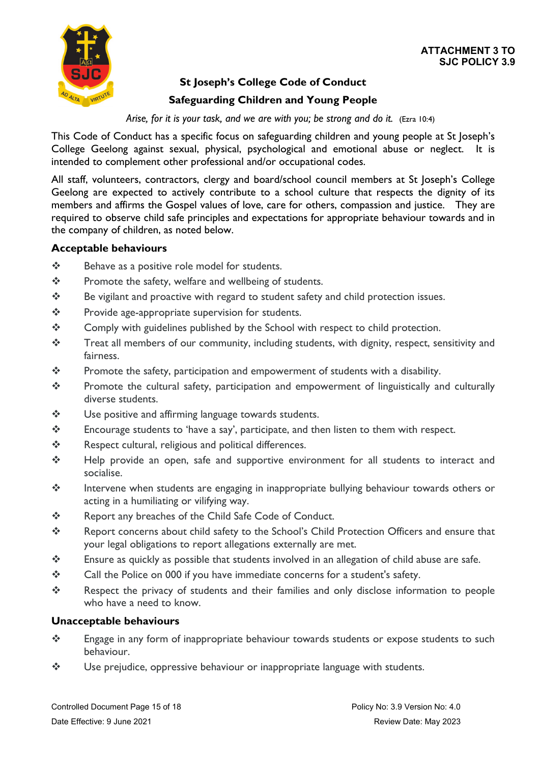

# **ATTACHMENT 3 TO SJC POLICY 3.9**

# **St Joseph's College Code of Conduct**

# **Safeguarding Children and Young People**

*Arise, for it is your task, and we are with you; be strong and do it.* (Ezra 10:4)

This Code of Conduct has a specific focus on safeguarding children and young people at St Joseph's College Geelong against sexual, physical, psychological and emotional abuse or neglect. It is intended to complement other professional and/or occupational codes.

All staff, volunteers, contractors, clergy and board/school council members at St Joseph's College Geelong are expected to actively contribute to a school culture that respects the dignity of its members and affirms the Gospel values of love, care for others, compassion and justice. They are required to observe child safe principles and expectations for appropriate behaviour towards and in the company of children, as noted below.

# **Acceptable behaviours**

- ❖ Behave as a positive role model for students.
- $\mathbf{\hat{P}}$  Promote the safety, welfare and wellbeing of students.
- \* Be vigilant and proactive with regard to student safety and child protection issues.
- $\mathbf{\hat{P}}$  Provide age-appropriate supervision for students.
- \* Comply with guidelines published by the School with respect to child protection.
- \* Treat all members of our community, including students, with dignity, respect, sensitivity and fairness.
- $\mathbf{\hat{P}}$  Promote the safety, participation and empowerment of students with a disability.
- \* Promote the cultural safety, participation and empowerment of linguistically and culturally diverse students.
- Use positive and affirming language towards students.
- $\mathbf{\hat{P}}$  Encourage students to 'have a say', participate, and then listen to them with respect.
- \* Respect cultural, religious and political differences.
- \* Help provide an open, safe and supportive environment for all students to interact and socialise.
- \* Intervene when students are engaging in inappropriate bullying behaviour towards others or acting in a humiliating or vilifying way.
- ❖ Report any breaches of the Child Safe Code of Conduct.
- \* Report concerns about child safety to the School's Child Protection Officers and ensure that your legal obligations to report allegations externally are met.
- \* Ensure as quickly as possible that students involved in an allegation of child abuse are safe.
- \* Call the Police on 000 if you have immediate concerns for a student's safety.
- \* Respect the privacy of students and their families and only disclose information to people who have a need to know.

# **Unacceptable behaviours**

- \* Engage in any form of inappropriate behaviour towards students or expose students to such behaviour.
- $\mathbf{\hat{P}}$  Use prejudice, oppressive behaviour or inappropriate language with students.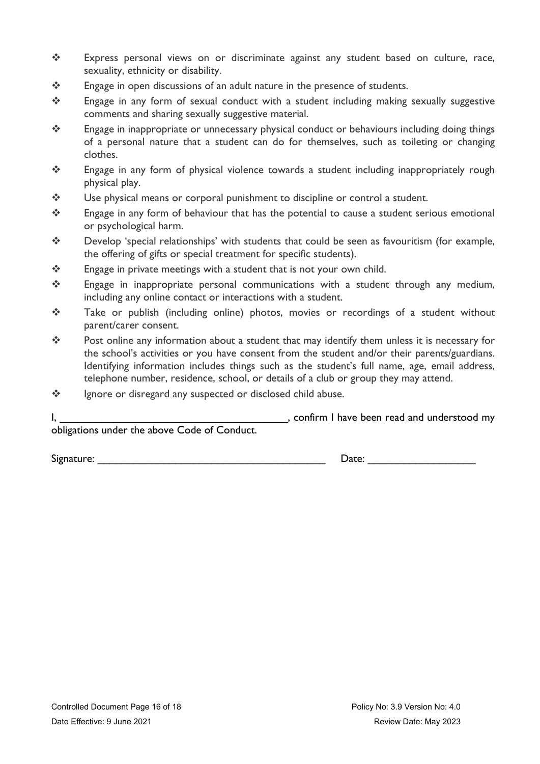- Express personal views on or discriminate against any student based on culture, race, sexuality, ethnicity or disability.
- Engage in open discussions of an adult nature in the presence of students.
- \* Engage in any form of sexual conduct with a student including making sexually suggestive comments and sharing sexually suggestive material.
- $\mathbf{\hat{P}}$  Engage in inappropriate or unnecessary physical conduct or behaviours including doing things of a personal nature that a student can do for themselves, such as toileting or changing clothes.
- \* Engage in any form of physical violence towards a student including inappropriately rough physical play.
- \* Use physical means or corporal punishment to discipline or control a student.
- \* Engage in any form of behaviour that has the potential to cause a student serious emotional or psychological harm.
- \* Develop 'special relationships' with students that could be seen as favouritism (for example, the offering of gifts or special treatment for specific students).
- $\mathbf{\hat{P}}$  Engage in private meetings with a student that is not your own child.
- \* Engage in inappropriate personal communications with a student through any medium, including any online contact or interactions with a student.
- \* Take or publish (including online) photos, movies or recordings of a student without parent/carer consent.
- \* Post online any information about a student that may identify them unless it is necessary for the school's activities or you have consent from the student and/or their parents/guardians. Identifying information includes things such as the student's full name, age, email address, telephone number, residence, school, or details of a club or group they may attend.
- ❖ lgnore or disregard any suspected or disclosed child abuse.

I, the same of the state of the state of the state of the state of the state of the state of the state of the state of the state of the state of the state of the state of the state of the state of the state of the state of obligations under the above Code of Conduct.

Signature: \_\_\_\_\_\_\_\_\_\_\_\_\_\_\_\_\_\_\_\_\_\_\_\_\_\_\_\_\_\_\_\_\_\_\_\_\_\_ Date: \_\_\_\_\_\_\_\_\_\_\_\_\_\_\_\_\_\_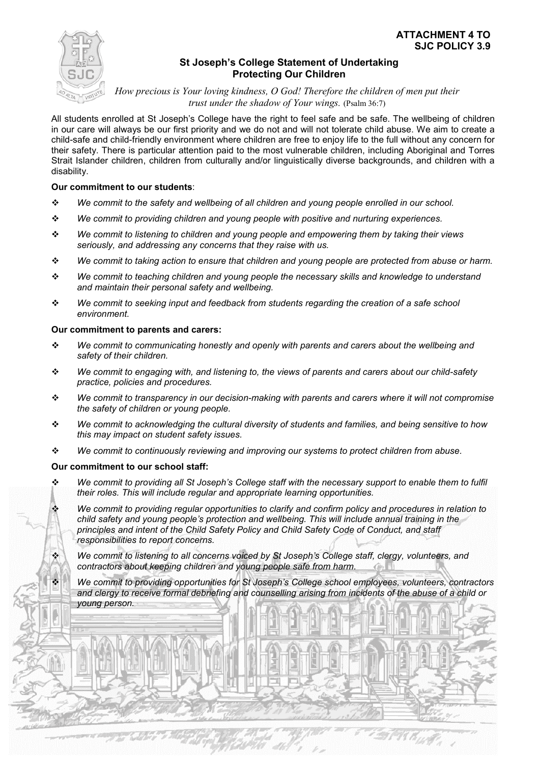

# **St Joseph's College Statement of Undertaking Protecting Our Children**

*How precious is Your loving kindness, O God! Therefore the children of men put their trust under the shadow of Your wings.* (Psalm 36:7)

All students enrolled at St Joseph's College have the right to feel safe and be safe. The wellbeing of children in our care will always be our first priority and we do not and will not tolerate child abuse. We aim to create a child-safe and child-friendly environment where children are free to enjoy life to the full without any concern for their safety. There is particular attention paid to the most vulnerable children, including Aboriginal and Torres Strait Islander children, children from culturally and/or linguistically diverse backgrounds, and children with a disability.

### **Our commitment to our students**:

- *We commit to the safety and wellbeing of all children and young people enrolled in our school.*
- *We commit to providing children and young people with positive and nurturing experiences.*
- *We commit to listening to children and young people and empowering them by taking their views seriously, and addressing any concerns that they raise with us.*
- *We commit to taking action to ensure that children and young people are protected from abuse or harm.*
- *We commit to teaching children and young people the necessary skills and knowledge to understand and maintain their personal safety and wellbeing.*
- *We commit to seeking input and feedback from students regarding the creation of a safe school environment.*

### **Our commitment to parents and carers:**

- *We commit to communicating honestly and openly with parents and carers about the wellbeing and safety of their children.*
- *We commit to engaging with, and listening to, the views of parents and carers about our child-safety practice, policies and procedures.*
- *We commit to transparency in our decision-making with parents and carers where it will not compromise the safety of children or young people.*
- *We commit to acknowledging the cultural diversity of students and families, and being sensitive to how this may impact on student safety issues.*
- *We commit to continuously reviewing and improving our systems to protect children from abuse.*

### **Our commitment to our school staff:**

Charles Charles

- *We commit to providing all St Joseph's College staff with the necessary support to enable them to fulfil their roles. This will include regular and appropriate learning opportunities.*
	- *We commit to providing regular opportunities to clarify and confirm policy and procedures in relation to child safety and young people's protection and wellbeing. This will include annual training in the principles and intent of the Child Safety Policy and Child Safety Code of Conduct, and staff responsibilities to report concerns.*

 *We commit to listening to all concerns voiced by St Joseph's College staff, clergy, volunteers, and contractors about keeping children and young people safe from harm.*

 $\sim$  2.9  $\sim$  3.9  $\sim$  3.9  $\sim$  17  $\sim$  17  $\sim$  17  $\sim$  17  $\sim$  17  $\sim$  17  $\sim$  17  $\sim$  17  $\sim$  17  $\sim$  17  $\sim$  17  $\sim$  17  $\sim$  17  $\sim$  17  $\sim$  17  $\sim$  17  $\sim$  17  $\sim$  17  $\sim$  17  $\sim$  17  $\sim$  17  $\sim$  17  $\sim$  17  $\sim$  17  $\$ 

 *We commit to providing opportunities for St Joseph's College school employees, volunteers, contractors and clergy to receive formal debriefing and counselling arising from incidents of the abuse of a child or young person.*

Date Effective: 9 June 2021 Review Date: May 2023